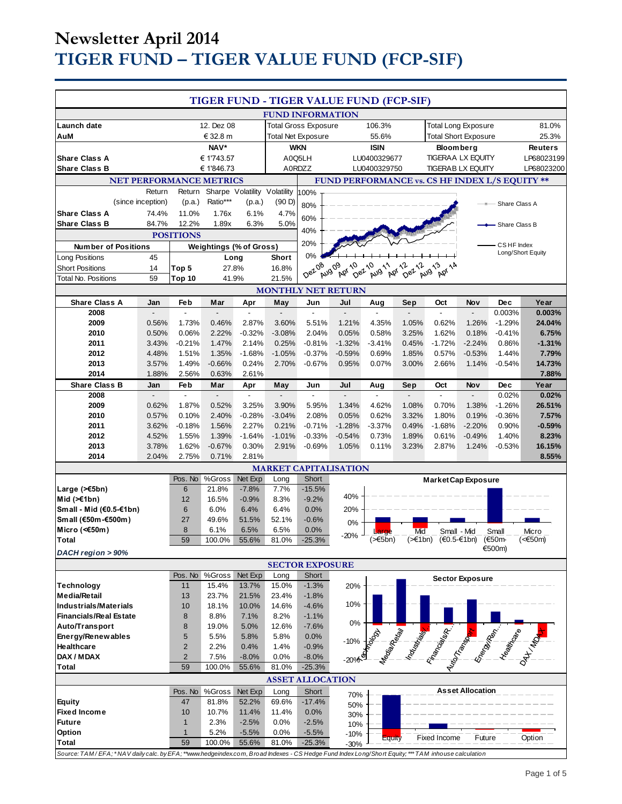# **Newsletter April 2014 TIGER FUND – TIGER VALUE FUND (FCP-SIF)**

|                                                                                                                                                    |                   |                     |                                |                              |                                                | TIGER FUND - TIGER VALUE FUND (FCP-SIF) |                             |                   |                 |                                             |                            |                   |                   |
|----------------------------------------------------------------------------------------------------------------------------------------------------|-------------------|---------------------|--------------------------------|------------------------------|------------------------------------------------|-----------------------------------------|-----------------------------|-------------------|-----------------|---------------------------------------------|----------------------------|-------------------|-------------------|
|                                                                                                                                                    |                   |                     |                                |                              |                                                | <b>FUND INFORMATION</b>                 |                             |                   |                 |                                             |                            |                   |                   |
| Launch date                                                                                                                                        |                   |                     | 12. Dez 08                     |                              |                                                | <b>Total Gross Exposure</b>             |                             | 106.3%            |                 |                                             | <b>Total Long Exposure</b> |                   | 81.0%             |
| AuM                                                                                                                                                | € 32.8 m          |                     |                                | <b>Total Net Exposure</b>    |                                                |                                         | 55.6%                       |                   |                 | <b>Total Short Exposure</b>                 |                            | 25.3%             |                   |
|                                                                                                                                                    |                   |                     | NAV*                           |                              |                                                | <b>WKN</b>                              |                             | <b>ISIN</b>       |                 | <b>Bloomberg</b>                            |                            |                   | <b>Reuters</b>    |
| <b>Share Class A</b>                                                                                                                               |                   |                     | € 1'743.57                     |                              |                                                | A0Q5LH                                  |                             | LU0400329677      |                 |                                             | <b>TIGERAA LX EQUITY</b>   |                   | LP68023199        |
| <b>Share Class B</b>                                                                                                                               |                   |                     | €1'846.73                      |                              |                                                | A0RDZZ                                  |                             | LU0400329750      |                 |                                             | <b>TIGERAB LX EQUITY</b>   |                   | LP68023200        |
| <b>NET PERFORMANCE METRICS</b>                                                                                                                     |                   |                     |                                |                              | FUND PERFORMANCE vs. CS HF INDEX L/S EQUITY ** |                                         |                             |                   |                 |                                             |                            |                   |                   |
|                                                                                                                                                    | Return            | Return              |                                | Sharpe Volatility Volatility |                                                | 100%                                    |                             |                   |                 |                                             |                            |                   |                   |
| <b>Share Class A</b>                                                                                                                               | (since inception) | (p.a.)              | Ratio***                       | (p.a.)                       | (90 D)                                         | 80%                                     |                             |                   |                 |                                             | $-8-$                      | Share Class A     |                   |
| <b>Share Class B</b>                                                                                                                               | 74.4%<br>84.7%    | 11.0%<br>12.2%      | 1.76x<br>1.89x                 | 6.1%<br>6.3%                 | 4.7%<br>5.0%                                   | 60%                                     |                             |                   |                 |                                             |                            | - Share Class B   |                   |
|                                                                                                                                                    |                   | <b>POSITIONS</b>    |                                |                              |                                                | 40%                                     |                             |                   |                 |                                             |                            |                   |                   |
| <b>Number of Positions</b>                                                                                                                         |                   |                     | <b>Weightings (% of Gross)</b> |                              |                                                | 20%                                     |                             |                   |                 |                                             |                            | CSHF Index        |                   |
| Long Positions                                                                                                                                     | 45                |                     | Long                           |                              | Short                                          | 0%                                      |                             |                   |                 |                                             |                            |                   | Long/Short Equity |
| <b>Short Positions</b>                                                                                                                             | 14                | Top 5               | 27.8%                          |                              | 16.8%                                          | Dez <sub>08</sub>                       | Apr 10<br>Aug <sub>09</sub> | Dez 10<br>Aug 11  | Apr 12<br>Dezil | Apr 14                                      |                            |                   |                   |
| <b>Total No. Positions</b>                                                                                                                         | 59                | Top 10              | 41.9%                          |                              | 21.5%                                          |                                         |                             |                   |                 | Aug 13                                      |                            |                   |                   |
| <b>MONTHLY NET RETURN</b>                                                                                                                          |                   |                     |                                |                              |                                                |                                         |                             |                   |                 |                                             |                            |                   |                   |
| <b>Share Class A</b>                                                                                                                               | Jan               | Feb                 | Mar                            | Apr                          | May                                            | Jun                                     | Jul                         | Aug               | Sep             | Oct                                         | Nov                        | <b>Dec</b>        | Year              |
| 2008                                                                                                                                               |                   | $\overline{a}$      |                                |                              | $\overline{a}$                                 | $\overline{a}$                          |                             |                   |                 |                                             |                            | 0.003%            | 0.003%            |
| 2009                                                                                                                                               | 0.56%             | 1.73%               | 0.46%                          | 2.87%                        | 3.60%                                          | 5.51%                                   | 1.21%                       | 4.35%             | 1.05%           | 0.62%                                       | 1.26%                      | $-1.29%$          | 24.04%            |
| 2010<br>2011                                                                                                                                       | 0.50%<br>3.43%    | 0.06%<br>$-0.21%$   | 2.22%<br>1.47%                 | $-0.32%$<br>2.14%            | $-3.08%$<br>0.25%                              | 2.04%<br>$-0.81%$                       | 0.05%<br>$-1.32%$           | 0.58%<br>$-3.41%$ | 3.25%<br>0.45%  | 1.62%<br>$-1.72%$                           | 0.18%<br>$-2.24%$          | $-0.41%$<br>0.86% | 6.75%<br>$-1.31%$ |
| 2012                                                                                                                                               | 4.48%             | 1.51%               | 1.35%                          | $-1.68%$                     | $-1.05%$                                       | $-0.37%$                                | $-0.59%$                    | 0.69%             | 1.85%           | 0.57%                                       | $-0.53%$                   | 1.44%             | 7.79%             |
| 2013                                                                                                                                               | 3.57%             | 1.49%               | $-0.66%$                       | 0.24%                        | 2.70%                                          | $-0.67%$                                | 0.95%                       | 0.07%             | 3.00%           | 2.66%                                       | 1.14%                      | $-0.54%$          | 14.73%            |
| 2014                                                                                                                                               | 1.88%             | 2.56%               | 0.63%                          | 2.61%                        |                                                |                                         |                             |                   |                 |                                             |                            |                   | 7.88%             |
| <b>Share Class B</b>                                                                                                                               | Jan               | Feb                 | Mar                            | Apr                          | May                                            | Jun                                     | Jul                         | Aug               | Sep             | Oct                                         | Nov                        | Dec               | Year              |
| 2008                                                                                                                                               |                   |                     |                                |                              |                                                |                                         |                             |                   |                 |                                             |                            | 0.02%             | 0.02%             |
| 2009                                                                                                                                               | 0.62%             | 1.87%               | 0.52%                          | 3.25%                        | 3.90%                                          | 5.95%                                   | 1.34%                       | 4.62%             | 1.08%           | 0.70%                                       | 1.38%                      | $-1.26%$          | 26.51%            |
| 2010                                                                                                                                               | 0.57%             | 0.10%               | 2.40%                          | $-0.28%$                     | $-3.04%$                                       | 2.08%                                   | 0.05%                       | 0.62%             | 3.32%           | 1.80%                                       | 0.19%                      | $-0.36%$          | 7.57%             |
| 2011                                                                                                                                               | 3.62%             | $-0.18%$            | 1.56%                          | 2.27%                        | 0.21%                                          | $-0.71%$                                | $-1.28%$                    | $-3.37%$          | 0.49%           | $-1.68%$                                    | $-2.20%$                   | 0.90%             | $-0.59%$          |
| 2012<br>2013                                                                                                                                       | 4.52%<br>3.78%    | 1.55%<br>1.62%      | 1.39%<br>$-0.67%$              | $-1.64%$<br>0.30%            | $-1.01%$<br>2.91%                              | $-0.33%$<br>$-0.69%$                    | $-0.54%$<br>1.05%           | 0.73%<br>0.11%    | 1.89%<br>3.23%  | 0.61%<br>2.87%                              | $-0.49%$<br>1.24%          | 1.40%<br>$-0.53%$ | 8.23%<br>16.15%   |
| 2014                                                                                                                                               | 2.04%             | 2.75%               | 0.71%                          | 2.81%                        |                                                |                                         |                             |                   |                 |                                             |                            |                   | 8.55%             |
|                                                                                                                                                    |                   |                     |                                |                              |                                                | <b>MARKET CAPITALISATION</b>            |                             |                   |                 |                                             |                            |                   |                   |
|                                                                                                                                                    |                   | Pos. No             | %Gross                         | Net Exp                      | Long                                           | Short                                   |                             |                   |                 | Market Cap Exposure                         |                            |                   |                   |
| Large (≻€5bn)                                                                                                                                      |                   | 6                   | 21.8%                          | $-7.8%$                      | 7.7%                                           | $-15.5%$                                |                             |                   |                 |                                             |                            |                   |                   |
| Mid (≻€1bn)                                                                                                                                        |                   | 12                  | 16.5%                          | $-0.9%$                      | 8.3%                                           | $-9.2%$                                 | 40%                         |                   |                 |                                             |                            |                   |                   |
| Small - Mid (€0.5-€1bn)                                                                                                                            |                   | 6                   | 6.0%                           | 6.4%                         | 6.4%                                           | 0.0%                                    | 20%                         |                   |                 |                                             |                            |                   |                   |
| Small (€50m-€500m)                                                                                                                                 |                   | 27                  | 49.6%                          | 51.5%                        | 52.1%                                          | $-0.6%$                                 | 0%                          |                   |                 |                                             |                            |                   |                   |
| Micro (<€50m)<br>Total                                                                                                                             |                   | 8<br>59             | 6.1%<br>100.0%                 | 6.5%<br>55.6%                | 6.5%<br>81.0%                                  | 0.0%<br>$-25.3%$                        | $-20%$                      | Large<br>(>€5bn)  | Mid<br>(>€1bn)  | Small - Mid                                 | $(€0.5-€1bn)$              | Small<br>(€50m-   | Micro<br>(<€50m)  |
|                                                                                                                                                    |                   |                     |                                |                              |                                                |                                         |                             |                   |                 |                                             |                            | €500m)            |                   |
| DACH region > 90%<br><b>SECTOR EXPOSURE</b>                                                                                                        |                   |                     |                                |                              |                                                |                                         |                             |                   |                 |                                             |                            |                   |                   |
|                                                                                                                                                    |                   | Pos. No             | %Gross                         | Net Exp                      | Long                                           | Short                                   |                             |                   |                 |                                             |                            |                   |                   |
| <b>Technology</b>                                                                                                                                  |                   | 11                  | 15.4%                          | 13.7%                        | 15.0%                                          | $-1.3%$                                 | 20%                         |                   |                 |                                             | <b>Sector Exposure</b>     |                   |                   |
| <b>Media/Retail</b>                                                                                                                                |                   | 13                  | 23.7%                          | 21.5%                        | 23.4%                                          | $-1.8%$                                 |                             |                   |                 |                                             |                            |                   |                   |
| Industrials/Materials                                                                                                                              |                   | 10                  | 18.1%                          | 10.0%                        | 14.6%                                          | $-4.6%$                                 | 10%                         |                   |                 |                                             |                            |                   |                   |
| <b>Financials/Real Estate</b>                                                                                                                      |                   | 8                   | 8.8%                           | 7.1%                         | 8.2%                                           | $-1.1%$                                 | 0%                          |                   |                 |                                             |                            |                   |                   |
| Auto/Transport                                                                                                                                     |                   | 8                   | 19.0%                          | 5.0%                         | 12.6%                                          | $-7.6%$                                 |                             |                   |                 | <b>CONTRACTOR SECTION AND READ PROPERTY</b> |                            |                   |                   |
| Energy/Renewables<br>Healthcare                                                                                                                    |                   | 5<br>$\overline{2}$ | 5.5%<br>2.2%                   | 5.8%<br>0.4%                 | 5.8%<br>1.4%                                   | 0.0%<br>$-0.9%$                         | $-10%$                      |                   |                 |                                             |                            |                   |                   |
| DAX / MDAX                                                                                                                                         |                   | $\overline{2}$      | 7.5%                           | $-8.0%$                      | 0.0%                                           | $-8.0%$                                 |                             |                   |                 |                                             |                            |                   |                   |
| <b>Total</b>                                                                                                                                       |                   | 59                  | 100.0%                         | 55.6%                        | 81.0%                                          | $-25.3%$                                | -20%                        |                   |                 |                                             |                            |                   |                   |
|                                                                                                                                                    |                   |                     |                                |                              |                                                | <b>ASSET ALLOCATION</b>                 |                             |                   |                 |                                             |                            |                   |                   |
|                                                                                                                                                    |                   | Pos. No             | %Gross                         | Net Exp                      | Long                                           | Short                                   | 70%                         |                   |                 |                                             | <b>Asset Allocation</b>    |                   |                   |
| Equity                                                                                                                                             |                   | 47                  | 81.8%                          | 52.2%                        | 69.6%                                          | $-17.4%$                                | 50%                         |                   |                 |                                             |                            |                   |                   |
| <b>Fixed Income</b>                                                                                                                                |                   | 10                  | 10.7%                          | 11.4%                        | 11.4%                                          | 0.0%                                    | 30%                         |                   |                 |                                             |                            |                   |                   |
| <b>Future</b>                                                                                                                                      |                   | $\mathbf{1}$        | 2.3%                           | $-2.5%$                      | 0.0%                                           | $-2.5%$                                 | 10%                         |                   |                 |                                             |                            |                   |                   |
| <b>Option</b>                                                                                                                                      |                   | $\mathbf{1}$        | 5.2%                           | $-5.5%$                      | 0.0%                                           | $-5.5%$                                 | $-10%$                      | Equity            |                 | Fixed Income                                | Future                     |                   | Option            |
| <b>Total</b>                                                                                                                                       |                   | 59                  | 100.0%                         | 55.6%                        | 81.0%                                          | $-25.3%$                                | $-30%$                      |                   |                 |                                             |                            |                   |                   |
| Source: TAM/EFA; *NAV daily calc. by EFA; **www.hedgeindex.com, Broad Indexes - CS Hedge Fund Index Long/Short Equity; *** TAM inhouse calculation |                   |                     |                                |                              |                                                |                                         |                             |                   |                 |                                             |                            |                   |                   |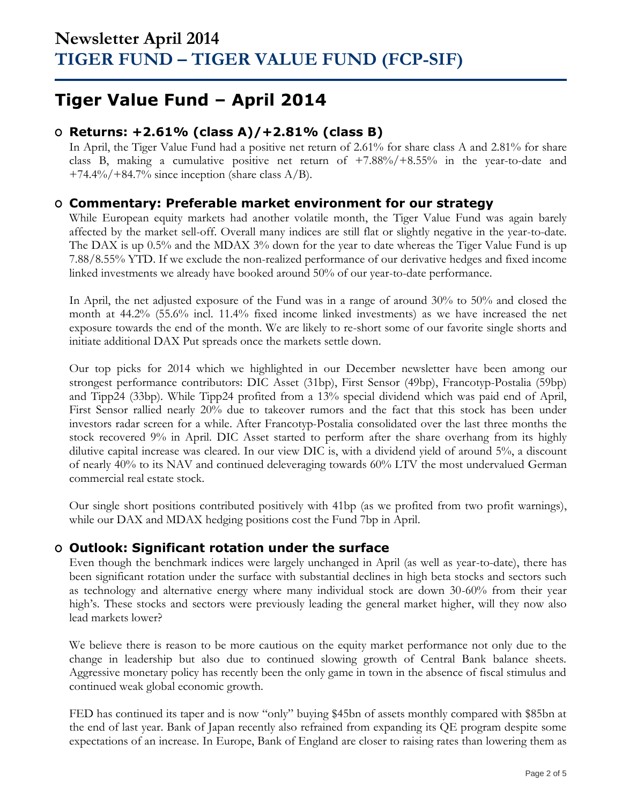## **Tiger Value Fund – April 2014**

### **O Returns: +2.61% (class A)/+2.81% (class B)**

In April, the Tiger Value Fund had a positive net return of 2.61% for share class A and 2.81% for share class B, making a cumulative positive net return of  $+7.88\%/+8.55\%$  in the year-to-date and +74.4%/+84.7% since inception (share class  $A/B$ ).

### **O Commentary: Preferable market environment for our strategy**

While European equity markets had another volatile month, the Tiger Value Fund was again barely affected by the market sell-off. Overall many indices are still flat or slightly negative in the year-to-date. The DAX is up 0.5% and the MDAX 3% down for the year to date whereas the Tiger Value Fund is up 7.88/8.55% YTD. If we exclude the non-realized performance of our derivative hedges and fixed income linked investments we already have booked around 50% of our year-to-date performance.

In April, the net adjusted exposure of the Fund was in a range of around 30% to 50% and closed the month at 44.2% (55.6% incl. 11.4% fixed income linked investments) as we have increased the net exposure towards the end of the month. We are likely to re-short some of our favorite single shorts and initiate additional DAX Put spreads once the markets settle down.

Our top picks for 2014 which we highlighted in our December newsletter have been among our strongest performance contributors: DIC Asset (31bp), First Sensor (49bp), Francotyp-Postalia (59bp) and Tipp24 (33bp). While Tipp24 profited from a 13% special dividend which was paid end of April, First Sensor rallied nearly 20% due to takeover rumors and the fact that this stock has been under investors radar screen for a while. After Francotyp-Postalia consolidated over the last three months the stock recovered 9% in April. DIC Asset started to perform after the share overhang from its highly dilutive capital increase was cleared. In our view DIC is, with a dividend yield of around 5%, a discount of nearly 40% to its NAV and continued deleveraging towards 60% LTV the most undervalued German commercial real estate stock.

Our single short positions contributed positively with 41bp (as we profited from two profit warnings), while our DAX and MDAX hedging positions cost the Fund 7bp in April.

### **O Outlook: Significant rotation under the surface**

Even though the benchmark indices were largely unchanged in April (as well as year-to-date), there has been significant rotation under the surface with substantial declines in high beta stocks and sectors such as technology and alternative energy where many individual stock are down 30-60% from their year high's. These stocks and sectors were previously leading the general market higher, will they now also lead markets lower?

We believe there is reason to be more cautious on the equity market performance not only due to the change in leadership but also due to continued slowing growth of Central Bank balance sheets. Aggressive monetary policy has recently been the only game in town in the absence of fiscal stimulus and continued weak global economic growth.

FED has continued its taper and is now "only" buying \$45bn of assets monthly compared with \$85bn at the end of last year. Bank of Japan recently also refrained from expanding its QE program despite some expectations of an increase. In Europe, Bank of England are closer to raising rates than lowering them as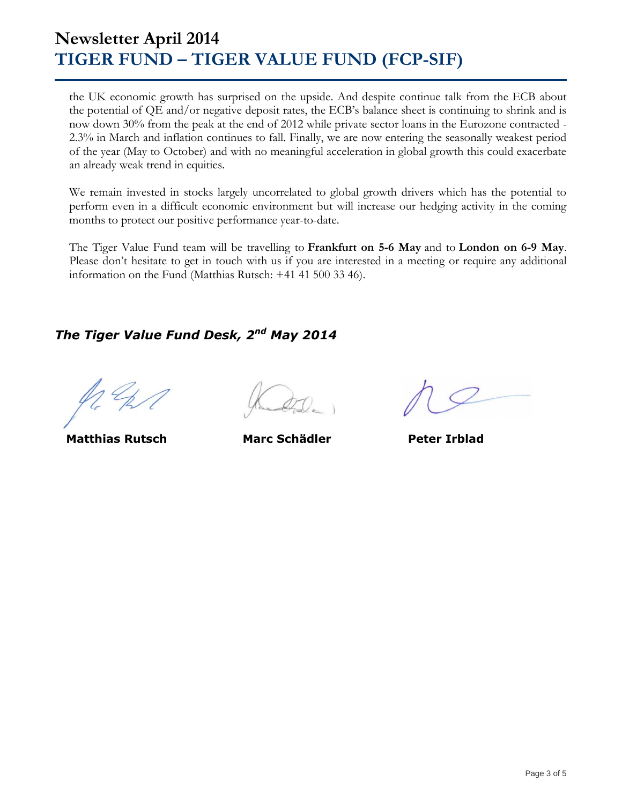## **Newsletter April 2014 TIGER FUND – TIGER VALUE FUND (FCP-SIF)**

the UK economic growth has surprised on the upside. And despite continue talk from the ECB about the potential of QE and/or negative deposit rates, the ECB's balance sheet is continuing to shrink and is now down 30% from the peak at the end of 2012 while private sector loans in the Eurozone contracted - 2.3% in March and inflation continues to fall. Finally, we are now entering the seasonally weakest period of the year (May to October) and with no meaningful acceleration in global growth this could exacerbate an already weak trend in equities.

We remain invested in stocks largely uncorrelated to global growth drivers which has the potential to perform even in a difficult economic environment but will increase our hedging activity in the coming months to protect our positive performance year-to-date.

The Tiger Value Fund team will be travelling to **Frankfurt on 5-6 May** and to **London on 6-9 May**. Please don't hesitate to get in touch with us if you are interested in a meeting or require any additional information on the Fund (Matthias Rutsch: +41 41 500 33 46).

### *The Tiger Value Fund Desk, 2 nd May 2014*

 **Matthias Rutsch Marc Schädler Peter Irblad**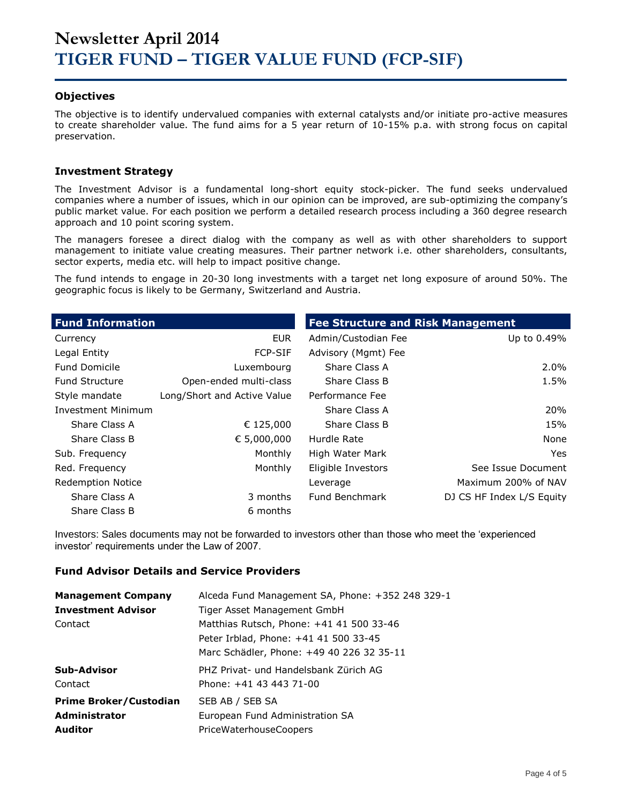#### **Objectives**

The objective is to identify undervalued companies with external catalysts and/or initiate pro-active measures to create shareholder value. The fund aims for a 5 year return of 10-15% p.a. with strong focus on capital preservation.

#### **Investment Strategy**

The Investment Advisor is a fundamental long-short equity stock-picker. The fund seeks undervalued companies where a number of issues, which in our opinion can be improved, are sub-optimizing the company's public market value. For each position we perform a detailed research process including a 360 degree research approach and 10 point scoring system.

The managers foresee a direct dialog with the company as well as with other shareholders to support management to initiate value creating measures. Their partner network i.e. other shareholders, consultants, sector experts, media etc. will help to impact positive change.

The fund intends to engage in 20-30 long investments with a target net long exposure of around 50%. The geographic focus is likely to be Germany, Switzerland and Austria.

| <b>Fund Information</b>  |                             | <b>Fee Structure and Risk Management</b> |                           |  |  |  |
|--------------------------|-----------------------------|------------------------------------------|---------------------------|--|--|--|
| Currency                 | <b>EUR</b>                  | Admin/Custodian Fee                      | Up to 0.49%               |  |  |  |
| Legal Entity             | <b>FCP-SIF</b>              | Advisory (Mgmt) Fee                      |                           |  |  |  |
| <b>Fund Domicile</b>     | Luxembourg                  | Share Class A                            | $2.0\%$                   |  |  |  |
| <b>Fund Structure</b>    | Open-ended multi-class      | Share Class B                            | 1.5%                      |  |  |  |
| Style mandate            | Long/Short and Active Value | Performance Fee                          |                           |  |  |  |
| Investment Minimum       |                             | Share Class A                            | 20%                       |  |  |  |
| Share Class A            | € 125,000                   | Share Class B                            | 15%                       |  |  |  |
| Share Class B            | € 5,000,000                 | Hurdle Rate                              | None                      |  |  |  |
| Sub. Frequency           | Monthly                     | High Water Mark                          | Yes                       |  |  |  |
| Red. Frequency           | Monthly                     | Eligible Investors                       | See Issue Document        |  |  |  |
| <b>Redemption Notice</b> |                             | Leverage                                 | Maximum 200% of NAV       |  |  |  |
| Share Class A            | 3 months                    | <b>Fund Benchmark</b>                    | DJ CS HF Index L/S Equity |  |  |  |
| Share Class B            | 6 months                    |                                          |                           |  |  |  |

Investors: Sales documents may not be forwarded to investors other than those who meet the 'experienced investor' requirements under the Law of 2007.

#### **Fund Advisor Details and Service Providers**

| <b>Management Company</b>     | Alceda Fund Management SA, Phone: +352 248 329-1 |
|-------------------------------|--------------------------------------------------|
| <b>Investment Advisor</b>     | Tiger Asset Management GmbH                      |
| Contact                       | Matthias Rutsch, Phone: +41 41 500 33-46         |
|                               | Peter Irblad, Phone: +41 41 500 33-45            |
|                               | Marc Schädler, Phone: +49 40 226 32 35-11        |
| Sub-Advisor                   | PHZ Privat- und Handelsbank Zürich AG            |
| Contact                       | Phone: +41 43 443 71-00                          |
| <b>Prime Broker/Custodian</b> | SEB AB / SEB SA                                  |
| <b>Administrator</b>          | European Fund Administration SA                  |
| <b>Auditor</b>                | <b>PriceWaterhouseCoopers</b>                    |